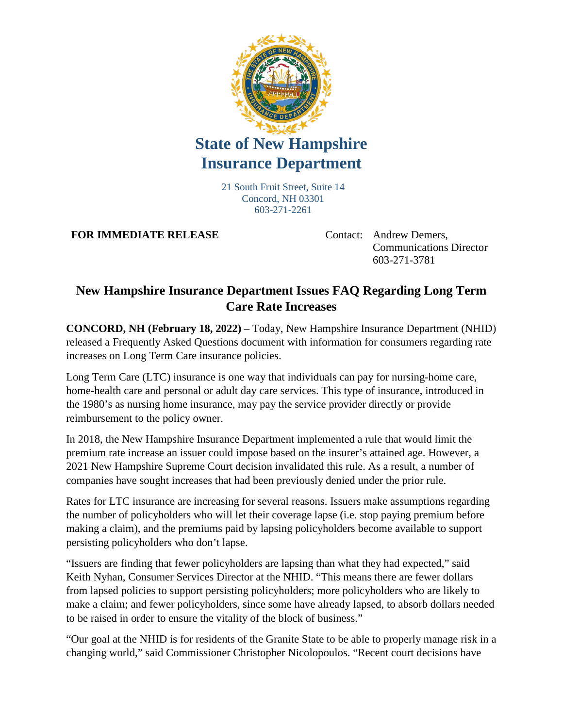

## **State of New Hampshire Insurance Department**

21 South Fruit Street, Suite 14 Concord, NH 03301 603-271-2261

**FOR IMMEDIATE RELEASE** Contact: Andrew Demers,

Communications Director 603-271-3781

## **New Hampshire Insurance Department Issues FAQ Regarding Long Term Care Rate Increases**

**CONCORD, NH (February 18, 2022)** – Today, New Hampshire Insurance Department (NHID) released a Frequently Asked Questions document with information for consumers regarding rate increases on Long Term Care insurance policies.

Long Term Care (LTC) insurance is one way that individuals can pay for nursing-home care, home-health care and personal or adult day care services. This type of insurance, introduced in the 1980's as nursing home insurance, may pay the service provider directly or provide reimbursement to the policy owner.

In 2018, the New Hampshire Insurance Department implemented a rule that would limit the premium rate increase an issuer could impose based on the insurer's attained age. However, a 2021 New Hampshire Supreme Court decision invalidated this rule. As a result, a number of companies have sought increases that had been previously denied under the prior rule.

Rates for LTC insurance are increasing for several reasons. Issuers make assumptions regarding the number of policyholders who will let their coverage lapse (i.e. stop paying premium before making a claim), and the premiums paid by lapsing policyholders become available to support persisting policyholders who don't lapse.

"Issuers are finding that fewer policyholders are lapsing than what they had expected," said Keith Nyhan, Consumer Services Director at the NHID. "This means there are fewer dollars from lapsed policies to support persisting policyholders; more policyholders who are likely to make a claim; and fewer policyholders, since some have already lapsed, to absorb dollars needed to be raised in order to ensure the vitality of the block of business."

"Our goal at the NHID is for residents of the Granite State to be able to properly manage risk in a changing world," said Commissioner Christopher Nicolopoulos. "Recent court decisions have